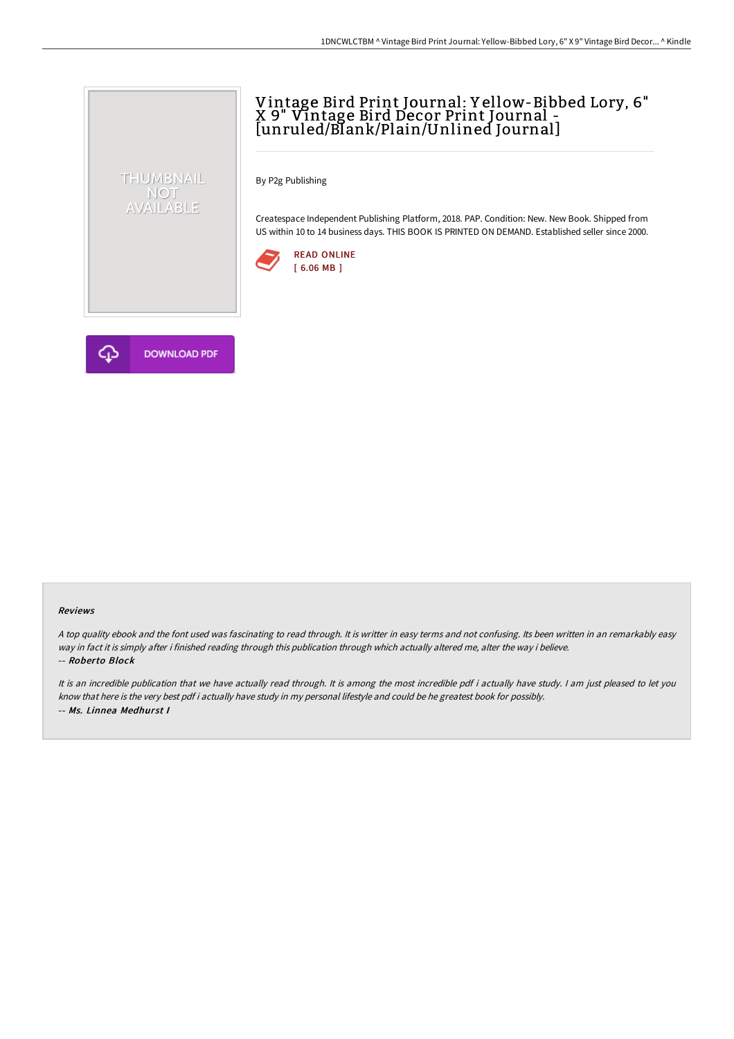# Vintage Bird Print Journal: Y ellow-Bibbed Lory, 6" X 9" Vintage Bird Decor Print Journal - [unruled/Blank/Plain/Unlined Journal]

By P2g Publishing

Createspace Independent Publishing Platform, 2018. PAP. Condition: New. New Book. Shipped from US within 10 to 14 business days. THIS BOOK IS PRINTED ON DEMAND. Established seller since 2000.





THUMBNAIL NOT<br>AVAILABLE

#### Reviews

<sup>A</sup> top quality ebook and the font used was fascinating to read through. It is writter in easy terms and not confusing. Its been written in an remarkably easy way in fact it is simply after i finished reading through this publication through which actually altered me, alter the way i believe. -- Roberto Block

It is an incredible publication that we have actually read through. It is among the most incredible pdf i actually have study. <sup>I</sup> am just pleased to let you know that here is the very best pdf i actually have study in my personal lifestyle and could be he greatest book for possibly. -- Ms. Linnea Medhurst I